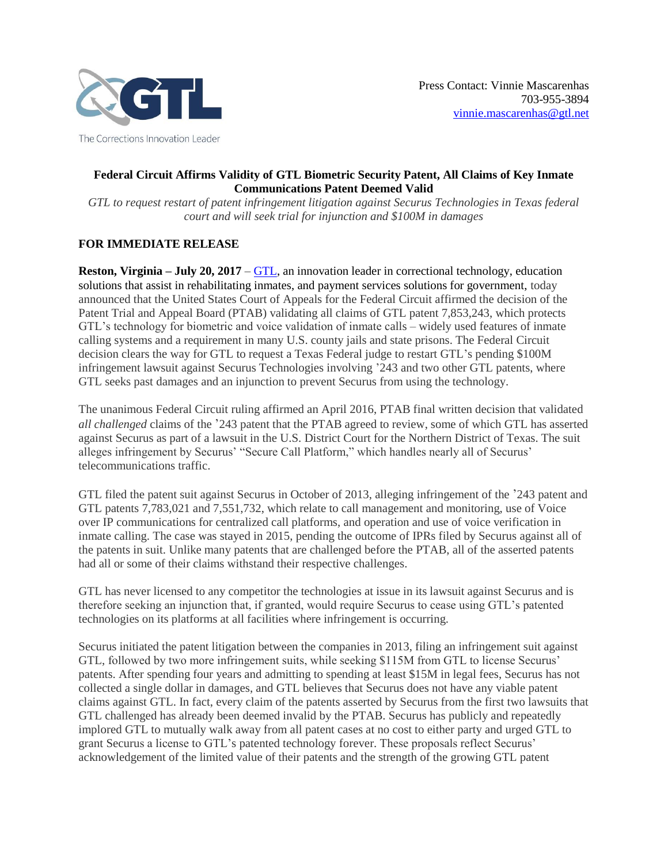

# **Federal Circuit Affirms Validity of GTL Biometric Security Patent, All Claims of Key Inmate Communications Patent Deemed Valid**

*GTL to request restart of patent infringement litigation against Securus Technologies in Texas federal court and will seek trial for injunction and \$100M in damages*

# **FOR IMMEDIATE RELEASE**

**Reston, Virginia – July 20, 2017** – [GTL,](http://www.gtl.net/) an innovation leader in correctional technology, education solutions that assist in rehabilitating inmates, and payment services solutions for government, today announced that the United States Court of Appeals for the Federal Circuit affirmed the decision of the Patent Trial and Appeal Board (PTAB) validating all claims of GTL patent 7,853,243, which protects GTL's technology for biometric and voice validation of inmate calls – widely used features of inmate calling systems and a requirement in many U.S. county jails and state prisons. The Federal Circuit decision clears the way for GTL to request a Texas Federal judge to restart GTL's pending \$100M infringement lawsuit against Securus Technologies involving '243 and two other GTL patents, where GTL seeks past damages and an injunction to prevent Securus from using the technology.

The unanimous Federal Circuit ruling affirmed an April 2016, PTAB final written decision that validated *all challenged* claims of the '243 patent that the PTAB agreed to review, some of which GTL has asserted against Securus as part of a lawsuit in the U.S. District Court for the Northern District of Texas. The suit alleges infringement by Securus' "Secure Call Platform," which handles nearly all of Securus' telecommunications traffic.

GTL filed the patent suit against Securus in October of 2013, alleging infringement of the '243 patent and GTL patents 7,783,021 and 7,551,732, which relate to call management and monitoring, use of Voice over IP communications for centralized call platforms, and operation and use of voice verification in inmate calling. The case was stayed in 2015, pending the outcome of IPRs filed by Securus against all of the patents in suit. Unlike many patents that are challenged before the PTAB, all of the asserted patents had all or some of their claims withstand their respective challenges.

GTL has never licensed to any competitor the technologies at issue in its lawsuit against Securus and is therefore seeking an injunction that, if granted, would require Securus to cease using GTL's patented technologies on its platforms at all facilities where infringement is occurring.

Securus initiated the patent litigation between the companies in 2013, filing an infringement suit against GTL, followed by two more infringement suits, while seeking \$115M from GTL to license Securus' patents. After spending four years and admitting to spending at least \$15M in legal fees, Securus has not collected a single dollar in damages, and GTL believes that Securus does not have any viable patent claims against GTL. In fact, every claim of the patents asserted by Securus from the first two lawsuits that GTL challenged has already been deemed invalid by the PTAB. Securus has publicly and repeatedly implored GTL to mutually walk away from all patent cases at no cost to either party and urged GTL to grant Securus a license to GTL's patented technology forever. These proposals reflect Securus' acknowledgement of the limited value of their patents and the strength of the growing GTL patent